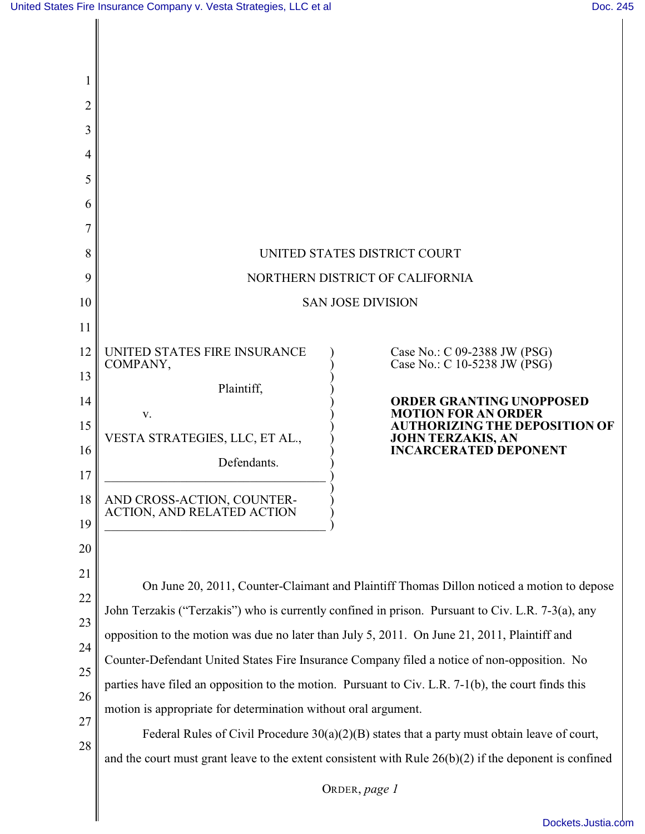| 2                                                        |                                                                                                                                                                                                                                                                                                                                                                                                                                                                                                                                                                                                                                                                                                                                                                                                      |
|----------------------------------------------------------|------------------------------------------------------------------------------------------------------------------------------------------------------------------------------------------------------------------------------------------------------------------------------------------------------------------------------------------------------------------------------------------------------------------------------------------------------------------------------------------------------------------------------------------------------------------------------------------------------------------------------------------------------------------------------------------------------------------------------------------------------------------------------------------------------|
| 3                                                        |                                                                                                                                                                                                                                                                                                                                                                                                                                                                                                                                                                                                                                                                                                                                                                                                      |
| 4                                                        |                                                                                                                                                                                                                                                                                                                                                                                                                                                                                                                                                                                                                                                                                                                                                                                                      |
| 5                                                        |                                                                                                                                                                                                                                                                                                                                                                                                                                                                                                                                                                                                                                                                                                                                                                                                      |
| 6                                                        |                                                                                                                                                                                                                                                                                                                                                                                                                                                                                                                                                                                                                                                                                                                                                                                                      |
|                                                          |                                                                                                                                                                                                                                                                                                                                                                                                                                                                                                                                                                                                                                                                                                                                                                                                      |
| 8                                                        | UNITED STATES DISTRICT COURT                                                                                                                                                                                                                                                                                                                                                                                                                                                                                                                                                                                                                                                                                                                                                                         |
| 9                                                        | NORTHERN DISTRICT OF CALIFORNIA                                                                                                                                                                                                                                                                                                                                                                                                                                                                                                                                                                                                                                                                                                                                                                      |
| 10                                                       | <b>SAN JOSE DIVISION</b>                                                                                                                                                                                                                                                                                                                                                                                                                                                                                                                                                                                                                                                                                                                                                                             |
| 11<br>12<br>13<br>14<br>15<br>16<br>17<br>18<br>19<br>20 | UNITED STATES FIRE INSURANCE<br>Case No.: C 09-2388 JW (PSG)<br>Case No.: C 10-5238 JW (PSG)<br>COMPANY,<br>Plaintiff,<br><b>ORDER GRANTING UNOPPOSED</b><br><b>MOTION FOR AN ORDER</b><br>V.<br><b>AUTHORIZING THE DEPOSITION OF</b><br>VESTA STRATEGIES, LLC, ET AL.,<br><b>JOHN TERZAKIS, AN</b><br><b>INCARCERATED DEPONENT</b><br>Defendants.<br>AND CROSS-ACTION, COUNTER-<br>ACTION, AND RELATED ACTION                                                                                                                                                                                                                                                                                                                                                                                       |
| 21<br>22<br>23<br>24<br>25<br>26<br>27<br>28             | On June 20, 2011, Counter-Claimant and Plaintiff Thomas Dillon noticed a motion to depose<br>John Terzakis ("Terzakis") who is currently confined in prison. Pursuant to Civ. L.R. 7-3(a), any<br>opposition to the motion was due no later than July 5, 2011. On June 21, 2011, Plaintiff and<br>Counter-Defendant United States Fire Insurance Company filed a notice of non-opposition. No<br>parties have filed an opposition to the motion. Pursuant to Civ. L.R. 7-1(b), the court finds this<br>motion is appropriate for determination without oral argument.<br>Federal Rules of Civil Procedure $30(a)(2)(B)$ states that a party must obtain leave of court,<br>and the court must grant leave to the extent consistent with Rule $26(b)(2)$ if the deponent is confined<br>ORDER, page 1 |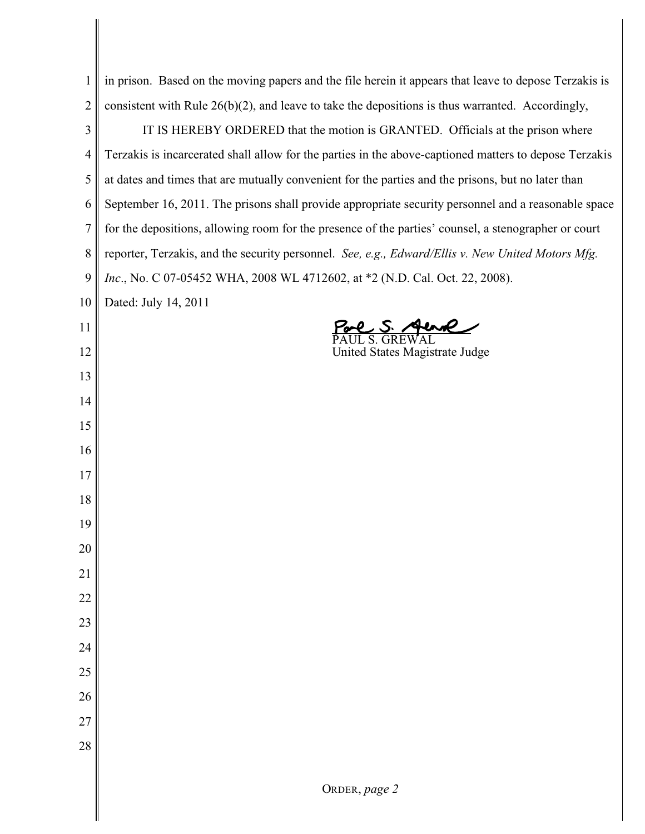| $\mathbf{1}$   | in prison. Based on the moving papers and the file herein it appears that leave to depose Terzakis is  |
|----------------|--------------------------------------------------------------------------------------------------------|
| $\overline{2}$ | consistent with Rule $26(b)(2)$ , and leave to take the depositions is thus warranted. Accordingly,    |
| 3              | IT IS HEREBY ORDERED that the motion is GRANTED. Officials at the prison where                         |
| $\overline{4}$ | Terzakis is incarcerated shall allow for the parties in the above-captioned matters to depose Terzakis |
| 5              | at dates and times that are mutually convenient for the parties and the prisons, but no later than     |
| 6              | September 16, 2011. The prisons shall provide appropriate security personnel and a reasonable space    |
| $\overline{7}$ | for the depositions, allowing room for the presence of the parties' counsel, a stenographer or court   |
| 8              | reporter, Terzakis, and the security personnel. See, e.g., Edward/Ellis v. New United Motors Mfg.      |
| 9              | Inc., No. C 07-05452 WHA, 2008 WL 4712602, at *2 (N.D. Cal. Oct. 22, 2008).                            |
| 10             | Dated: July 14, 2011                                                                                   |
| 11             |                                                                                                        |
| 12             | United States Magistrate Judge                                                                         |
| 13             |                                                                                                        |
| 14             |                                                                                                        |
| 15             |                                                                                                        |
| 16             |                                                                                                        |
| 17             |                                                                                                        |
| 18             |                                                                                                        |
| 19             |                                                                                                        |
| 20             |                                                                                                        |
| 21             |                                                                                                        |
| 22             |                                                                                                        |
| 23             |                                                                                                        |
| 24             |                                                                                                        |
| 25             |                                                                                                        |
| 26             |                                                                                                        |
| 27             |                                                                                                        |
| 28             |                                                                                                        |
|                |                                                                                                        |